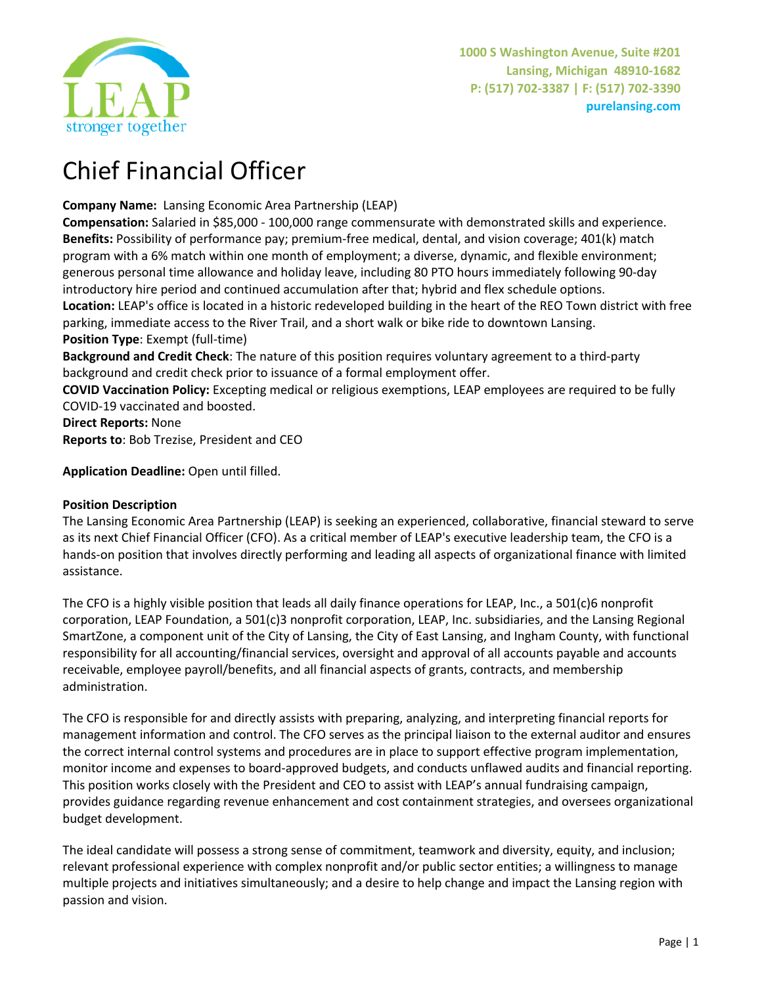

# Chief Financial Officer

**Company Name:** Lansing Economic Area Partnership (LEAP)

**Compensation:** Salaried in \$85,000 - 100,000 range commensurate with demonstrated skills and experience. **Benefits:** Possibility of performance pay; premium-free medical, dental, and vision coverage; 401(k) match program with a 6% match within one month of employment; a diverse, dynamic, and flexible environment; generous personal time allowance and holiday leave, including 80 PTO hours immediately following 90-day introductory hire period and continued accumulation after that; hybrid and flex schedule options. **Location:** LEAP's office is located in a historic redeveloped building in the heart of the REO Town district with free parking, immediate access to the River Trail, and a short walk or bike ride to downtown Lansing. **Position Type**: Exempt (full-time)

**Background and Credit Check**: The nature of this position requires voluntary agreement to a third-party background and credit check prior to issuance of a formal employment offer.

**COVID Vaccination Policy:** Excepting medical or religious exemptions, LEAP employees are required to be fully COVID-19 vaccinated and boosted.

**Direct Reports:** None **Reports to**: Bob Trezise, President and CEO

**Application Deadline:** Open until filled.

# **Position Description**

The Lansing Economic Area Partnership (LEAP) is seeking an experienced, collaborative, financial steward to serve as its next Chief Financial Officer (CFO). As a critical member of LEAP's executive leadership team, the CFO is a hands-on position that involves directly performing and leading all aspects of organizational finance with limited assistance.

The CFO is a highly visible position that leads all daily finance operations for LEAP, Inc., a 501(c)6 nonprofit corporation, LEAP Foundation, a 501(c)3 nonprofit corporation, LEAP, Inc. subsidiaries, and the Lansing Regional SmartZone, a component unit of the City of Lansing, the City of East Lansing, and Ingham County, with functional responsibility for all accounting/financial services, oversight and approval of all accounts payable and accounts receivable, employee payroll/benefits, and all financial aspects of grants, contracts, and membership administration.

The CFO is responsible for and directly assists with preparing, analyzing, and interpreting financial reports for management information and control. The CFO serves as the principal liaison to the external auditor and ensures the correct internal control systems and procedures are in place to support effective program implementation, monitor income and expenses to board-approved budgets, and conducts unflawed audits and financial reporting. This position works closely with the President and CEO to assist with LEAP's annual fundraising campaign, provides guidance regarding revenue enhancement and cost containment strategies, and oversees organizational budget development.

The ideal candidate will possess a strong sense of commitment, teamwork and diversity, equity, and inclusion; relevant professional experience with complex nonprofit and/or public sector entities; a willingness to manage multiple projects and initiatives simultaneously; and a desire to help change and impact the Lansing region with passion and vision.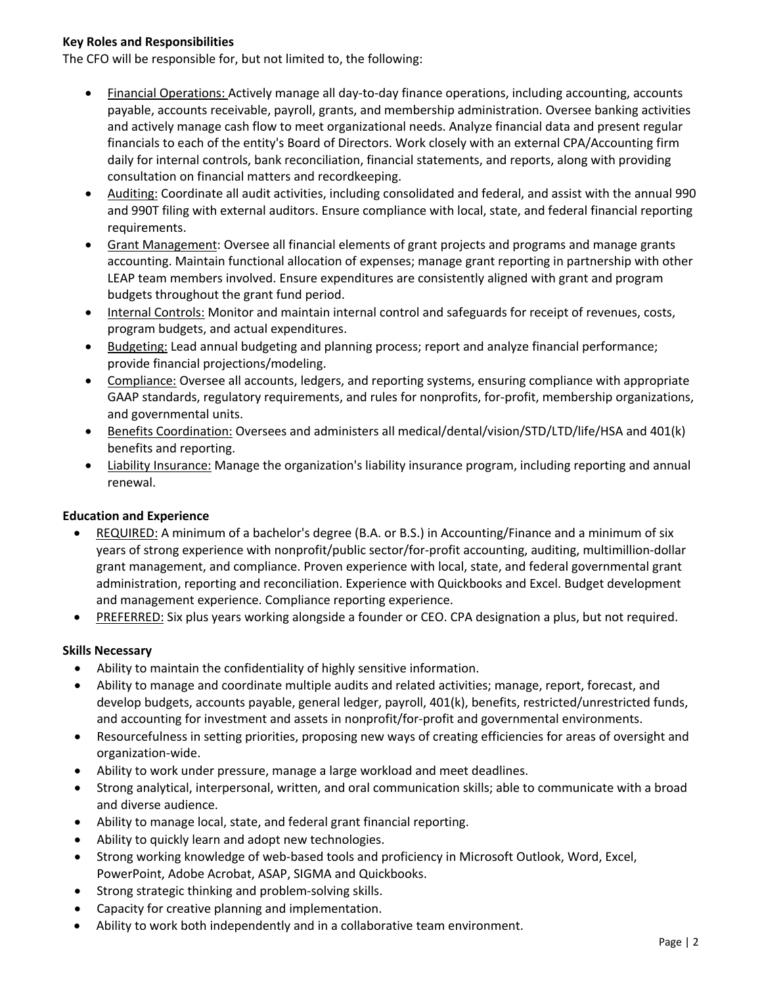### **Key Roles and Responsibilities**

The CFO will be responsible for, but not limited to, the following:

- Financial Operations: Actively manage all day-to-day finance operations, including accounting, accounts payable, accounts receivable, payroll, grants, and membership administration. Oversee banking activities and actively manage cash flow to meet organizational needs. Analyze financial data and present regular financials to each of the entity's Board of Directors. Work closely with an external CPA/Accounting firm daily for internal controls, bank reconciliation, financial statements, and reports, along with providing consultation on financial matters and recordkeeping.
- Auditing: Coordinate all audit activities, including consolidated and federal, and assist with the annual 990 and 990T filing with external auditors. Ensure compliance with local, state, and federal financial reporting requirements.
- Grant Management: Oversee all financial elements of grant projects and programs and manage grants accounting. Maintain functional allocation of expenses; manage grant reporting in partnership with other LEAP team members involved. Ensure expenditures are consistently aligned with grant and program budgets throughout the grant fund period.
- Internal Controls: Monitor and maintain internal control and safeguards for receipt of revenues, costs, program budgets, and actual expenditures.
- Budgeting: Lead annual budgeting and planning process; report and analyze financial performance; provide financial projections/modeling.
- Compliance: Oversee all accounts, ledgers, and reporting systems, ensuring compliance with appropriate GAAP standards, regulatory requirements, and rules for nonprofits, for-profit, membership organizations, and governmental units.
- Benefits Coordination: Oversees and administers all medical/dental/vision/STD/LTD/life/HSA and 401(k) benefits and reporting.
- Liability Insurance: Manage the organization's liability insurance program, including reporting and annual renewal.

# **Education and Experience**

- REQUIRED: A minimum of a bachelor's degree (B.A. or B.S.) in Accounting/Finance and a minimum of six years of strong experience with nonprofit/public sector/for-profit accounting, auditing, multimillion-dollar grant management, and compliance. Proven experience with local, state, and federal governmental grant administration, reporting and reconciliation. Experience with Quickbooks and Excel. Budget development and management experience. Compliance reporting experience.
- PREFERRED: Six plus years working alongside a founder or CEO. CPA designation a plus, but not required.

#### **Skills Necessary**

- Ability to maintain the confidentiality of highly sensitive information.
- Ability to manage and coordinate multiple audits and related activities; manage, report, forecast, and develop budgets, accounts payable, general ledger, payroll, 401(k), benefits, restricted/unrestricted funds, and accounting for investment and assets in nonprofit/for-profit and governmental environments.
- Resourcefulness in setting priorities, proposing new ways of creating efficiencies for areas of oversight and organization-wide.
- Ability to work under pressure, manage a large workload and meet deadlines.
- Strong analytical, interpersonal, written, and oral communication skills; able to communicate with a broad and diverse audience.
- Ability to manage local, state, and federal grant financial reporting.
- Ability to quickly learn and adopt new technologies.
- Strong working knowledge of web-based tools and proficiency in Microsoft Outlook, Word, Excel, PowerPoint, Adobe Acrobat, ASAP, SIGMA and Quickbooks.
- Strong strategic thinking and problem-solving skills.
- Capacity for creative planning and implementation.
- Ability to work both independently and in a collaborative team environment.